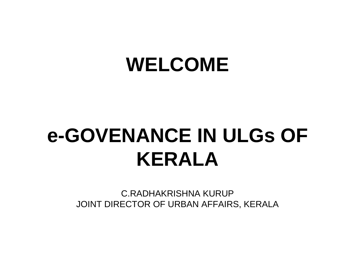# **WELCOME**

# **e-GOVENANCE IN ULGs OF KERALA**

C.RADHAKRISHNA KURUP JOINT DIRECTOR OF URBAN AFFAIRS, KERALA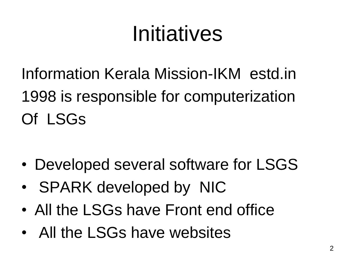# Initiatives

Information Kerala Mission-IKM estd.in 1998 is responsible for computerization Of LSGs

- Developed several software for LSGS
- SPARK developed by NIC
- All the LSGs have Front end office
- All the LSGs have websites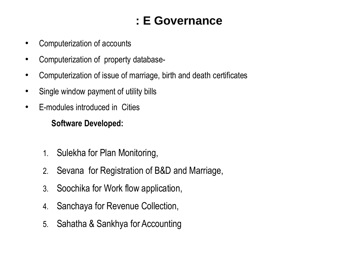### **: E Governance**

- Computerization of accounts
- Computerization of property database-
- Computerization of issue of marriage, birth and death certificates
- Single window payment of utility bills
- E-modules introduced in Cities

#### **Software Developed:**

- 1. Sulekha for Plan Monitoring,
- 2. Sevana for Registration of B&D and Marriage,
- 3. Soochika for Work flow application,
- 4. Sanchaya for Revenue Collection,
- 5. Sahatha & Sankhya for Accounting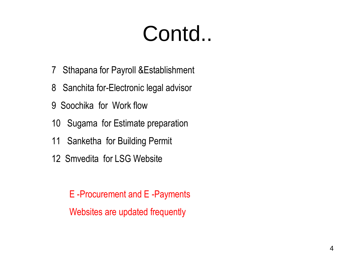# Contd..

- 7 Sthapana for Payroll &Establishment
- 8 Sanchita for-Electronic legal advisor
- 9 Soochika for Work flow
- 10 Sugama for Estimate preparation
- 11 Sanketha for Building Permit
- 12 Smvedita for LSG Website

 E -Procurement and E -Payments Websites are updated frequently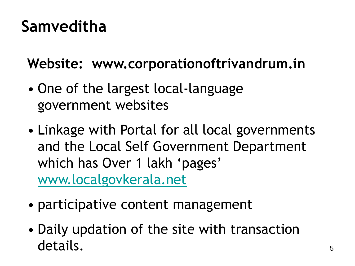## **Samveditha**

**Website: www.corporationoftrivandrum.in**

- One of the largest local-language government websites
- Linkage with Portal for all local governments and the Local Self Government Department which has Over 1 lakh 'pages' [www.localgovkerala.net](http://www.localgovkerala.net/)
- participative content management
- Daily updation of the site with transaction details.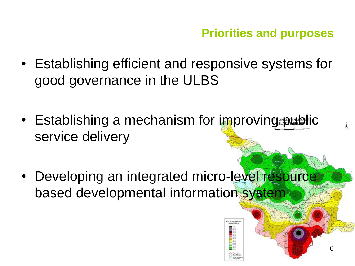**Priorities and purposes**

- Establishing efficient and responsive systems for good governance in the ULBS
- Establishing a mechanism for improving public service delivery
- Developing an integrated micro-level resource based developmental information system



6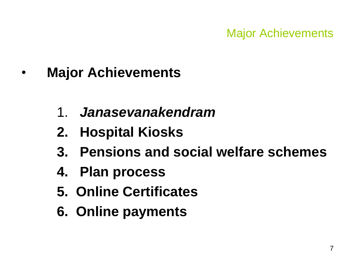- **Major Achievements**
	- 1. *Janasevanakendram*
	- **2. Hospital Kiosks**
	- **3. Pensions and social welfare schemes**
	- **4. Plan process**
	- **5. Online Certificates**
	- **6. Online payments**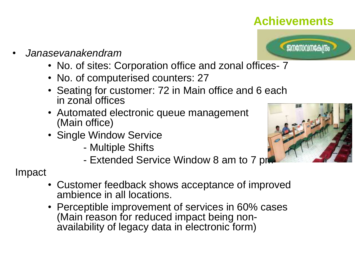#### **Achievements**



- *Janasevanakendram*
	- No. of sites: Corporation office and zonal offices 7
	- No. of computerised counters: 27
	- Seating for customer: 72 in Main office and 6 each in zonal offices
	- Automated electronic queue management (Main office)
	- Single Window Service
		- Multiple Shifts
		- Extended Service Window 8 am to 7 pm

#### Impact

- Customer feedback shows acceptance of improved ambience in all locations.
- Perceptible improvement of services in 60% cases (Main reason for reduced impact being nonavailability of legacy data in electronic form)

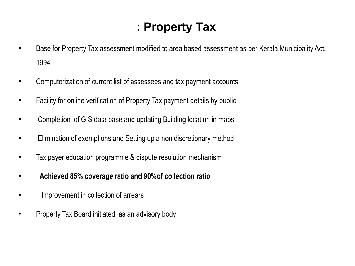### **: Property Tax**

- Base for Property Tax assessment modified to area based assessment as per Kerala Municipality Act, 1994
- Computerization of current list of assessees and tax payment accounts
- Facility for online verification of Property Tax payment details by public
- Completion of GIS data base and updating Building location in maps
- Elimination of exemptions and Setting up a non discretionary method
- Tax payer education programme & dispute resolution mechanism
- **Achieved 85% coverage ratio and 90%of collection ratio**
- Improvement in collection of arrears
- Property Tax Board initiated as an advisory body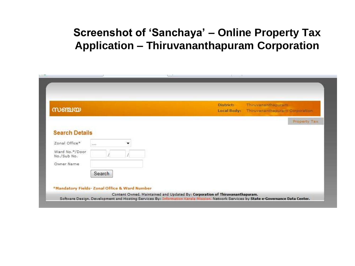#### **Screenshot of 'Sanchaya' – Online Property Tax Application – Thiruvananthapuram Corporation**

| സഞ്ചയ                         |        |  | District:<br>Local Body: | Thiruvananthapuram | Thiruvananthapuram Corporation |
|-------------------------------|--------|--|--------------------------|--------------------|--------------------------------|
|                               |        |  |                          |                    | Property Tax                   |
| <b>Search Details</b>         |        |  |                          |                    |                                |
| Zonal Office*                 | 1.11   |  |                          |                    |                                |
| Ward No.*/Door<br>No./Sub No. |        |  |                          |                    |                                |
| Owner Name                    |        |  |                          |                    |                                |
|                               | Search |  |                          |                    |                                |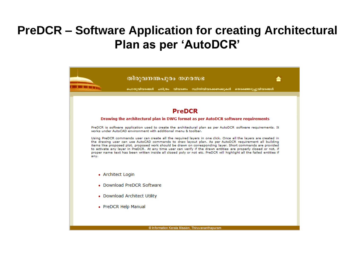### **PreDCR – Software Application for creating Architectural Plan as per 'AutoDCR'**

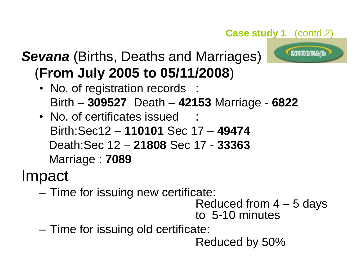#### **Case study 1** (contd.2)



## *Sevana* (Births, Deaths and Marriages) (**From July 2005 to 05/11/2008**)

- No. of registration records : Birth – **309527** Death – **42153** Marriage - **6822**
- No. of certificates issued Birth:Sec12 – **110101** Sec 17 – **49474** Death:Sec 12 – **21808** Sec 17 - **33363** Marriage : **7089**

Impact

– Time for issuing new certificate:

Reduced from 4 – 5 days to 5-10 minutes

– Time for issuing old certificate:

Reduced by 50%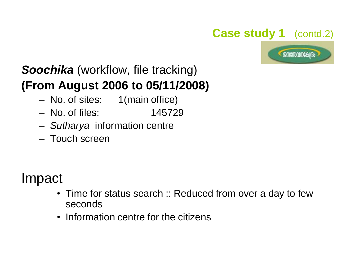#### **Case study 1** (contd.2)



## *Soochika* (workflow, file tracking) **(From August 2006 to 05/11/2008)**

- No. of sites: 1(main office)
- No. of files: 145729
- *Sutharya* information centre
- Touch screen

## Impact

- Time for status search :: Reduced from over a day to few seconds
- Information centre for the citizens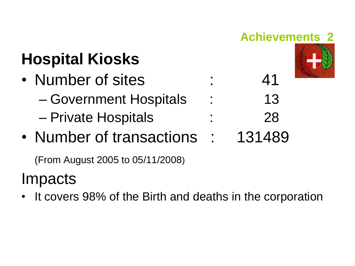

(From August 2005 to 05/11/2008)

## Impacts

• It covers 98% of the Birth and deaths in the corporation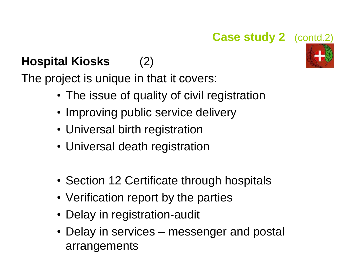### **Case study 2** (contd.2)

## **Hospital Kiosks** (2)

The project is unique in that it covers:

- The issue of quality of civil registration
- Improving public service delivery
- Universal birth registration
- Universal death registration
- Section 12 Certificate through hospitals
- Verification report by the parties
- Delay in registration-audit
- Delay in services messenger and postal arrangements

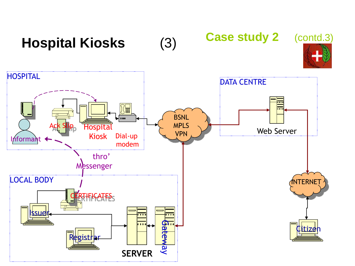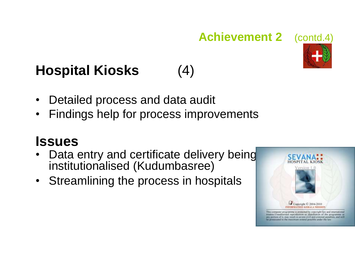### **Achievement 2** (contd.4)



- Detailed process and data audit
- Findings help for process improvements

## **Issues**

- Data entry and certificate delivery being institutionalised (Kudumbasree)
- Streamlining the process in hospitals



monited to the maximum extend possible under the law

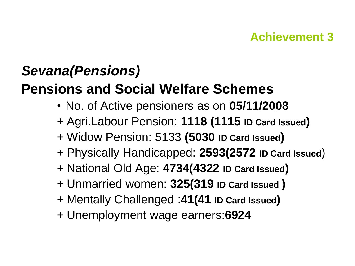### **Achievement 3**

## *Sevana(Pensions)* **Pensions and Social Welfare Schemes**

- No. of Active pensioners as on **05/11/2008**
- + Agri.Labour Pension: **1118 (1115 ID Card Issued)**
- + Widow Pension: 5133 **(5030 ID Card Issued)**
- + Physically Handicapped: **2593(2572 ID Card Issued**)
- + National Old Age: **4734(4322 ID Card Issued)**
- + Unmarried women: **325(319 ID Card Issued )**
- + Mentally Challenged :**41(41 ID Card Issued)**
- + Unemployment wage earners:**6924**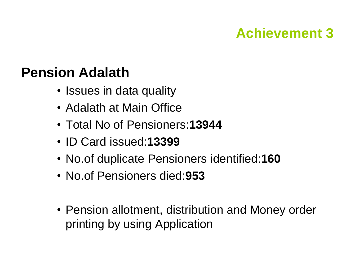## **Achievement 3**

## **Pension Adalath**

- Issues in data quality
- Adalath at Main Office
- Total No of Pensioners:**13944**
- ID Card issued:**13399**
- No.of duplicate Pensioners identified:**160**
- No.of Pensioners died:**953**
- Pension allotment, distribution and Money order printing by using Application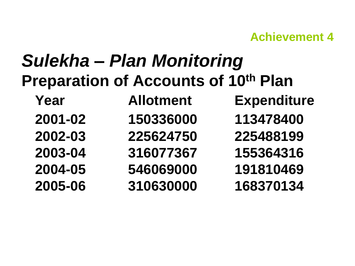#### **Achievement 4**

## *Sulekha – Plan Monitoring* **Preparation of Accounts of 10th Plan Year Allotment Expenditure 2001-02 150336000 113478400 2002-03 225624750 225488199 2003-04 316077367 155364316 2004-05 546069000 191810469 2005-06 310630000 168370134**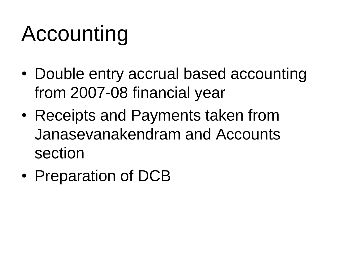# Accounting

- Double entry accrual based accounting from 2007-08 financial year
- Receipts and Payments taken from Janasevanakendram and Accounts section
- Preparation of DCB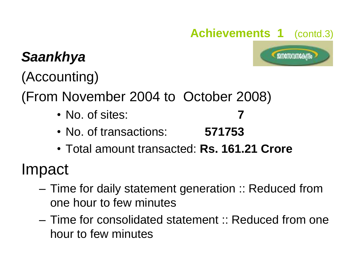## **Achievements 1** (contd.3)

**SURGITUDIO CAN Bo** 

## *Saankhya*

(Accounting)

(From November 2004 to October 2008)

- No. of sites:
- No. of transactions: **571753**
- Total amount transacted: **Rs. 161.21 Crore**

Impact

- Time for daily statement generation :: Reduced from one hour to few minutes
- Time for consolidated statement :: Reduced from one hour to few minutes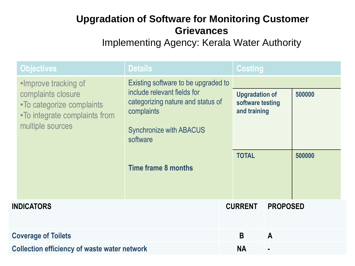#### **Upgradation of Software for Monitoring Customer Grievances**

Implementing Agency: Kerala Water Authority

|                            | <b>Objectives</b>                                                                                                            | <b>Details</b>                                                                                                                                                                                    |                                                                           | <b>Costing</b>  |              |                  |
|----------------------------|------------------------------------------------------------------------------------------------------------------------------|---------------------------------------------------------------------------------------------------------------------------------------------------------------------------------------------------|---------------------------------------------------------------------------|-----------------|--------------|------------------|
|                            | •Improve tracking of<br>complaints closure<br>•To categorize complaints<br>•To integrate complaints from<br>multiple sources | Existing software to be upgraded to<br>include relevant fields for<br>categorizing nature and status of<br>complaints<br><b>Synchronize with ABACUS</b><br>software<br><b>Time frame 8 months</b> | <b>Upgradation of</b><br>software testing<br>and training<br><b>TOTAL</b> |                 |              | 500000<br>500000 |
| <b>INDICATORS</b>          |                                                                                                                              |                                                                                                                                                                                                   | <b>CURRENT</b>                                                            | <b>PROPOSED</b> |              |                  |
| <b>Coverage of Toilets</b> |                                                                                                                              |                                                                                                                                                                                                   |                                                                           | B               | $\mathbf{A}$ |                  |
|                            | <b>Collection efficiency of waste water network</b>                                                                          |                                                                                                                                                                                                   |                                                                           | <b>NA</b>       |              |                  |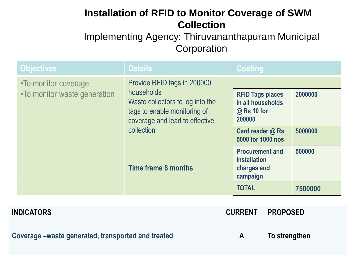#### **Installation of RFID to Monitor Coverage of SWM Collection**

Implementing Agency: Thiruvananthapuram Municipal **Corporation** 

| <b>Objectives</b>                                     | <b>Details</b>                                                                                                                                                                       | <b>Costing</b>                                                           |         |
|-------------------------------------------------------|--------------------------------------------------------------------------------------------------------------------------------------------------------------------------------------|--------------------------------------------------------------------------|---------|
| • To monitor coverage<br>•To monitor waste generation | Provide RFID tags in 200000<br>households<br>Waste collectors to log into the<br>tags to enable monitoring of<br>coverage and lead to effective<br>collection<br>Time frame 8 months | <b>RFID Tags places</b><br>in all households<br>@ Rs 10 for              | 2000000 |
|                                                       |                                                                                                                                                                                      | 200000<br>Card reader @ Rs<br>5000 for 1000 nos                          | 5000000 |
|                                                       |                                                                                                                                                                                      | <b>Procurement and</b><br><i>installation</i><br>charges and<br>campaign | 500000  |
|                                                       |                                                                                                                                                                                      | <b>TOTAL</b>                                                             | 7500000 |

| <b>INDICATORS</b>                                   |              | <b>CURRENT PROPOSED</b> |
|-----------------------------------------------------|--------------|-------------------------|
| Coverage – waste generated, transported and treated | $\mathsf{A}$ | To strengthen           |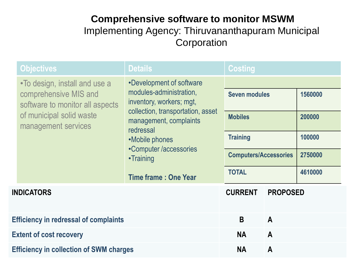#### **Comprehensive software to monitor MSWM** Implementing Agency: Thiruvananthapuram Municipal **Corporation**

|                                                | <b>Objectives</b>                                                                                                                            | <b>Details</b>                                                                                                                                                                                                                                      | <b>Costing</b>                                                  |                 |                              |  |
|------------------------------------------------|----------------------------------------------------------------------------------------------------------------------------------------------|-----------------------------------------------------------------------------------------------------------------------------------------------------------------------------------------------------------------------------------------------------|-----------------------------------------------------------------|-----------------|------------------------------|--|
|                                                | •To design, install and use a<br>comprehensive MIS and<br>software to monitor all aspects<br>of municipal solid waste<br>management services | •Development of software<br>modules-administration,<br>inventory, workers; mgt,<br>collection, transportation, asset<br>management, complaints<br>redressal<br>•Mobile phones<br>•Computer /accessories<br>•Training<br><b>Time frame: One Year</b> | <b>Seven modules</b><br>1560000<br><b>Mobiles</b><br>200000     |                 |                              |  |
|                                                |                                                                                                                                              |                                                                                                                                                                                                                                                     | <b>Training</b><br><b>Computers/Accessories</b><br><b>TOTAL</b> |                 | 100000<br>2750000<br>4610000 |  |
| <b>INDICATORS</b>                              |                                                                                                                                              |                                                                                                                                                                                                                                                     | <b>CURRENT</b>                                                  | <b>PROPOSED</b> |                              |  |
| <b>Efficiency in redressal of complaints</b>   |                                                                                                                                              |                                                                                                                                                                                                                                                     | B                                                               | $\mathsf{A}$    |                              |  |
| <b>Extent of cost recovery</b>                 |                                                                                                                                              |                                                                                                                                                                                                                                                     | <b>NA</b>                                                       | $\mathbf{A}$    |                              |  |
| <b>Efficiency in collection of SWM charges</b> |                                                                                                                                              |                                                                                                                                                                                                                                                     | <b>NA</b>                                                       | $\mathbf{A}$    |                              |  |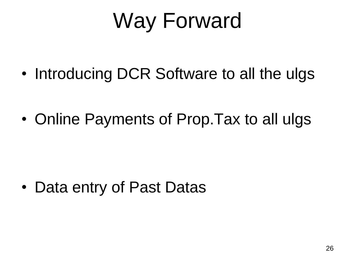# Way Forward

• Introducing DCR Software to all the ulgs

• Online Payments of Prop.Tax to all ulgs

• Data entry of Past Datas